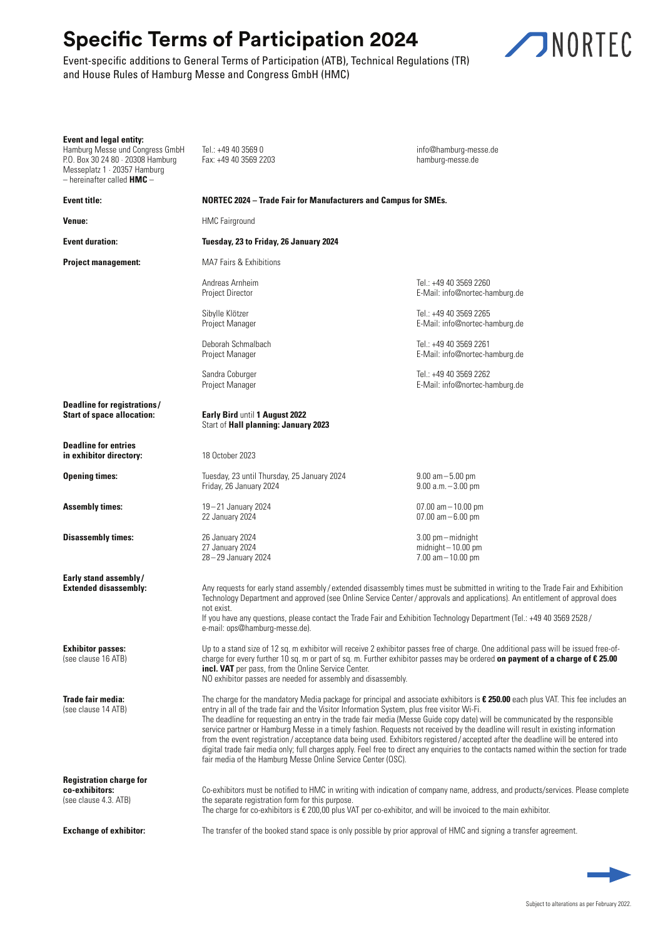## **Specific Terms of Participation 2024**

Event-specific additions to General Terms of Participation (ATB), Technical Regulations (TR) and House Rules of Hamburg Messe and Congress GmbH (HMC)



| <b>Event and legal entity:</b><br>Hamburg Messe und Congress GmbH<br>P.O. Box 30 24 80 · 20308 Hamburg<br>Messeplatz 1 · 20357 Hamburg<br>$-$ hereinafter called $HMC -$ | Tel.: +49 40 3569 0<br>Fax: +49 40 3569 2203                                                                                                                                                                                                                                                                                                                                                                                                                                                                                                                                                                                                                                                                                                                                                                                                              | info@hamburg-messe.de<br>hamburg-messe.de                               |
|--------------------------------------------------------------------------------------------------------------------------------------------------------------------------|-----------------------------------------------------------------------------------------------------------------------------------------------------------------------------------------------------------------------------------------------------------------------------------------------------------------------------------------------------------------------------------------------------------------------------------------------------------------------------------------------------------------------------------------------------------------------------------------------------------------------------------------------------------------------------------------------------------------------------------------------------------------------------------------------------------------------------------------------------------|-------------------------------------------------------------------------|
| Event title:                                                                                                                                                             | <b>NORTEC 2024 – Trade Fair for Manufacturers and Campus for SMEs.</b>                                                                                                                                                                                                                                                                                                                                                                                                                                                                                                                                                                                                                                                                                                                                                                                    |                                                                         |
| Venue:                                                                                                                                                                   | <b>HMC</b> Fairground                                                                                                                                                                                                                                                                                                                                                                                                                                                                                                                                                                                                                                                                                                                                                                                                                                     |                                                                         |
| <b>Event duration:</b>                                                                                                                                                   | Tuesday, 23 to Friday, 26 January 2024                                                                                                                                                                                                                                                                                                                                                                                                                                                                                                                                                                                                                                                                                                                                                                                                                    |                                                                         |
| <b>Project management:</b>                                                                                                                                               | MA7 Fairs & Exhibitions                                                                                                                                                                                                                                                                                                                                                                                                                                                                                                                                                                                                                                                                                                                                                                                                                                   |                                                                         |
|                                                                                                                                                                          | Andreas Arnheim<br>Project Director                                                                                                                                                                                                                                                                                                                                                                                                                                                                                                                                                                                                                                                                                                                                                                                                                       | Tel.: +49 40 3569 2260<br>E-Mail: info@nortec-hamburg.de                |
|                                                                                                                                                                          | Sibylle Klötzer<br>Project Manager                                                                                                                                                                                                                                                                                                                                                                                                                                                                                                                                                                                                                                                                                                                                                                                                                        | Tel.: +49 40 3569 2265<br>E-Mail: info@nortec-hamburg.de                |
|                                                                                                                                                                          | Deborah Schmalbach<br>Project Manager                                                                                                                                                                                                                                                                                                                                                                                                                                                                                                                                                                                                                                                                                                                                                                                                                     | Tel.: +49 40 3569 2261<br>E-Mail: info@nortec-hamburg.de                |
|                                                                                                                                                                          | Sandra Coburger<br>Project Manager                                                                                                                                                                                                                                                                                                                                                                                                                                                                                                                                                                                                                                                                                                                                                                                                                        | Tel.: +49 40 3569 2262<br>E-Mail: info@nortec-hamburg.de                |
| Deadline for registrations/<br><b>Start of space allocation:</b>                                                                                                         | Early Bird until 1 August 2022<br>Start of Hall planning: January 2023                                                                                                                                                                                                                                                                                                                                                                                                                                                                                                                                                                                                                                                                                                                                                                                    |                                                                         |
| <b>Deadline for entries</b><br>in exhibitor directory:                                                                                                                   | 18 October 2023                                                                                                                                                                                                                                                                                                                                                                                                                                                                                                                                                                                                                                                                                                                                                                                                                                           |                                                                         |
| <b>Opening times:</b>                                                                                                                                                    | Tuesday, 23 until Thursday, 25 January 2024<br>Friday, 26 January 2024                                                                                                                                                                                                                                                                                                                                                                                                                                                                                                                                                                                                                                                                                                                                                                                    | $9.00 \text{ am} - 5.00 \text{ pm}$<br>$9.00 a.m. - 3.00 pm$            |
| <b>Assembly times:</b>                                                                                                                                                   | 19-21 January 2024<br>22 January 2024                                                                                                                                                                                                                                                                                                                                                                                                                                                                                                                                                                                                                                                                                                                                                                                                                     | $07.00$ am $-10.00$ pm<br>$07.00$ am $-6.00$ pm                         |
| Disassembly times:                                                                                                                                                       | 26 January 2024<br>27 January 2024<br>28-29 January 2024                                                                                                                                                                                                                                                                                                                                                                                                                                                                                                                                                                                                                                                                                                                                                                                                  | $3.00$ pm $-$ midnight<br>$midinit - 10.00 pm$<br>$7.00$ am $-10.00$ pm |
| Early stand assembly/<br><b>Extended disassembly:</b>                                                                                                                    | Any requests for early stand assembly/extended disassembly times must be submitted in writing to the Trade Fair and Exhibition<br>Technology Department and approved (see Online Service Center / approvals and applications). An entitlement of approval does<br>not exist.<br>If you have any questions, please contact the Trade Fair and Exhibition Technology Department (Tel.: +49 40 3569 2528/<br>e-mail: ops@hamburg-messe.de).                                                                                                                                                                                                                                                                                                                                                                                                                  |                                                                         |
| <b>Exhibitor passes:</b><br>(see clause 16 ATB)                                                                                                                          | Up to a stand size of 12 sq. m exhibitor will receive 2 exhibitor passes free of charge. One additional pass will be issued free-of-<br>charge for every further 10 sq. m or part of sq. m. Further exhibitor passes may be ordered on payment of a charge of $\epsilon$ 25.00<br>incl. VAT per pass, from the Online Service Center.<br>NO exhibitor passes are needed for assembly and disassembly.                                                                                                                                                                                                                                                                                                                                                                                                                                                     |                                                                         |
| <b>Trade fair media:</b><br>(see clause 14 ATB)                                                                                                                          | The charge for the mandatory Media package for principal and associate exhibitors is $\epsilon$ 250.00 each plus VAT. This fee includes an<br>entry in all of the trade fair and the Visitor Information System, plus free visitor Wi-Fi.<br>The deadline for requesting an entry in the trade fair media (Messe Guide copy date) will be communicated by the responsible<br>service partner or Hamburg Messe in a timely fashion. Requests not received by the deadline will result in existing information<br>from the event registration/acceptance data being used. Exhibitors registered/accepted after the deadline will be entered into<br>digital trade fair media only; full charges apply. Feel free to direct any enquiries to the contacts named within the section for trade<br>fair media of the Hamburg Messe Online Service Center (OSC). |                                                                         |
| <b>Registration charge for</b><br>co-exhibitors:<br>(see clause 4.3. ATB)                                                                                                | Co-exhibitors must be notified to HMC in writing with indication of company name, address, and products/services. Please complete<br>the separate registration form for this purpose.<br>The charge for co-exhibitors is $\epsilon$ 200,00 plus VAT per co-exhibitor, and will be invoiced to the main exhibitor.                                                                                                                                                                                                                                                                                                                                                                                                                                                                                                                                         |                                                                         |
| <b>Exchange of exhibitor:</b>                                                                                                                                            | The transfer of the booked stand space is only possible by prior approval of HMC and signing a transfer agreement.                                                                                                                                                                                                                                                                                                                                                                                                                                                                                                                                                                                                                                                                                                                                        |                                                                         |